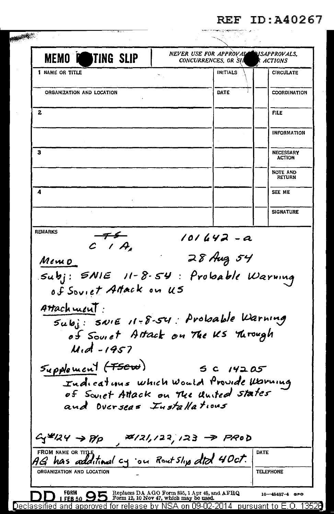| MEMO <b>Resting SLIP</b>                                                                                                                                                           |                        | NEVER USE FOR APPROVAL<br>CONCURRENCES, OR SIA | VSAPPROVALS,<br><b>ACTIONS</b>    |
|------------------------------------------------------------------------------------------------------------------------------------------------------------------------------------|------------------------|------------------------------------------------|-----------------------------------|
| 1 NAME OR TITLE                                                                                                                                                                    |                        | <b>INITIALS</b>                                | <b>CIRCULATE</b>                  |
| ORGANIZATION AND LOCATION                                                                                                                                                          |                        | DATE                                           | COORDINATION                      |
| 2                                                                                                                                                                                  |                        |                                                | <b>FILE</b>                       |
|                                                                                                                                                                                    |                        |                                                | <b>INFORMATION</b>                |
| з                                                                                                                                                                                  |                        |                                                | <b>NECESSARY</b><br><b>ACTION</b> |
|                                                                                                                                                                                    |                        |                                                | <b>NOTE AND</b><br><b>RETURN</b>  |
| 4                                                                                                                                                                                  |                        |                                                | SEE ME                            |
|                                                                                                                                                                                    |                        |                                                | <b>SIGNATURE</b>                  |
| <b>REMARKS</b><br>$C$ $A$<br>$M$ em $\mathcal{O}_1$<br>$subj$ : $SNIE$ 11-8.54: Probable Warning<br>of Soviet Attack on US<br>Attachwent:<br>Subj: SNIE 11-8-54 : Probable Warning |                        | $101642 - a$<br>28 Aug 54                      |                                   |
| of Souiet Attack on The KS Through<br>$M_{1}d - 1957$<br>Supplement (Tsew)<br>Indications which would provide Warning<br>of Soutet Attack on The United States                     | Overseas Installations | $5C$ $14205$                                   |                                   |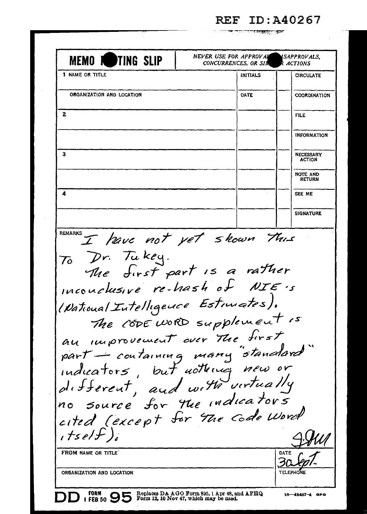# REF ID:A40267

| <b>TING SLIP</b><br>MEMO -        | CONCURRENCES, OR SIM                                                                                                                                                                                                                                                                                                                         | २ ACTIONS                        |
|-----------------------------------|----------------------------------------------------------------------------------------------------------------------------------------------------------------------------------------------------------------------------------------------------------------------------------------------------------------------------------------------|----------------------------------|
| <b>1 NAME OR TITLE</b>            | INITIALS                                                                                                                                                                                                                                                                                                                                     | <b>CIRCULATE</b>                 |
| ORGANIZATION AND LOCATION         | <b>DATE</b>                                                                                                                                                                                                                                                                                                                                  | COORDINATION                     |
|                                   |                                                                                                                                                                                                                                                                                                                                              | FILE                             |
|                                   |                                                                                                                                                                                                                                                                                                                                              | <b>INFORMATION</b>               |
|                                   |                                                                                                                                                                                                                                                                                                                                              | NECESSARY<br><b>ACTION</b>       |
|                                   |                                                                                                                                                                                                                                                                                                                                              | <b>NOTE AND</b><br><b>RETURN</b> |
|                                   |                                                                                                                                                                                                                                                                                                                                              | SEE ME                           |
|                                   |                                                                                                                                                                                                                                                                                                                                              | <b>SIGNATURE</b>                 |
| <b>REMARKS</b><br>To Dr. Tukey.   | I have not yet skown this                                                                                                                                                                                                                                                                                                                    |                                  |
| $itself)_e$<br>FROM NAME OR TITLE | The first part is a rather<br>inconclusive re-hash of NIE.s<br>(National Intelligence Estimates).<br>The CODE WORD supplement is<br>an improvement over the first<br>part - containing many "standard"<br>indicators, but nothing new or<br>different, and with virtually<br>no source for the indicators<br>cited (except for the code word | DATE                             |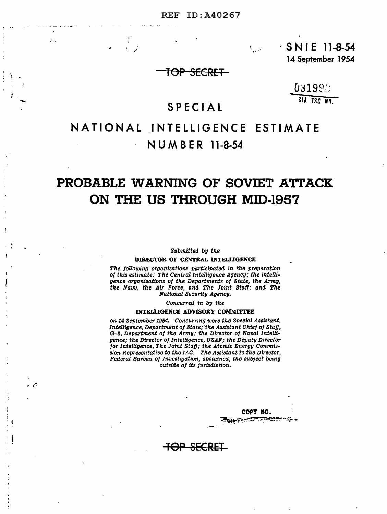REF ID:A40267

 $\sqrt{3}$  SNIE 11-8-54 14 September 1954

## <del>SECRET -</del>

031990 **61A TSC MO** 

## SPECIAL

## NATIONAL INTELLIGENCE ESTIMATE N U M B E R 11-8-54

## PROBABLE WARNING OF SOVIET ATTACK ON THE US THROUGH MID-1957

Submitted by the

DIRECTOR OF CENTRAL INTELLIGENCE

The following organizations participated in the preparation of this estimate: The Central Intelligence Agency; the intelligence organizations of the Departments of State, the Army, the Navy, the Air Force, and The Joint Staff; and The National Security Agency.

> ;

....

:"···

' (

 $\mathcal{L}$ 

Concurred in by the

#### INTELLIGENCE ADVISORY COMMITTEE

on 14September1954. Concurring were the Special Assistant, Intelligence, Department of State; the Assistant Chief of Staff, G-2, Department of the Army; the Director of Naval Intelligence; the Director of Intelligence, USAF; the Deputy Director for Intelligence, The Joint Staff; the Atomic Energy Commission Representative to the IAC. The Assistant to the Director, Federal Bureau of Investigation, abstained, the subject being outside of its jurisdiction.

. ..---

TOP SECRET

COPY *NO.*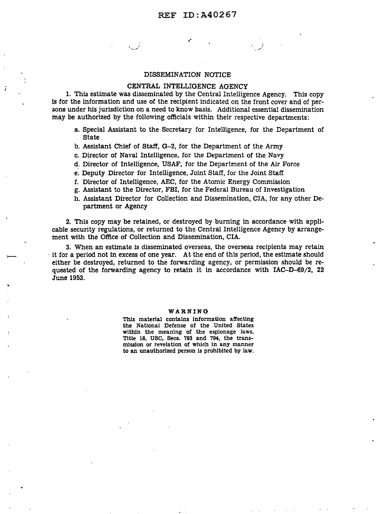,  $\mathcal{I}$ 

#### DISSEMINATION NOTICE

.·

 $\searrow$  .

#### CENTRAL INTELLIGENCE AGENCY

1. This estimate was disseminated by the Central Intelligence Agency. This copy is for the information and use of the recipient indicated on the front cover and of persons under his jurisdiction on a need to know basis. Additional essential dissemination may be authorized by the following officials within their respective departments:

- a. Special Assistant to the Secretary for Intelligence, for the Department of State
- b. Assistant Chief of Staff, G-2, for the Department of the Army
- c. Director of Naval Intelligence, for the Department of the Navy
- d. Director of Intelligence, USAF, for the Department of the Air Force
- e. Deputy Director for Intelligence, Joint Staff, for the Joint Staff
- f. Director of Intelligence, AEC, for the Atomic Energy Commission
- g. Assistant to the Director, FBI, for the Federal Bureau of Investigation
- h. Assistant Director for Collection and Dissemination, CIA, for any other Department or Agency

2. This copy may be retained, or destroyed by burning in accordance with applicable security regulations, or returned to the Central Intelligence Agency by arrangement with the Office of Collection and Dissemination, CIA.

3. When an estimate is disseminated overseas, the overseas recipients may retain · it for a period not in excess of one year. At the end of this period, the estimate should either be destroyed, returned to the forwarding agency, or permission should be requested of the forwarding agency to retain it in accordance with IAC-D-69/2, 22 June 1953.

·-. -

#### WARNING

This material contains information affecting the National Defense of the . United States within the meaning of the espionage laws, Title 18, USC, Secs. 793 and 794, the transmission or revelation of which in any manner to an unauthorized person is prohibited by law.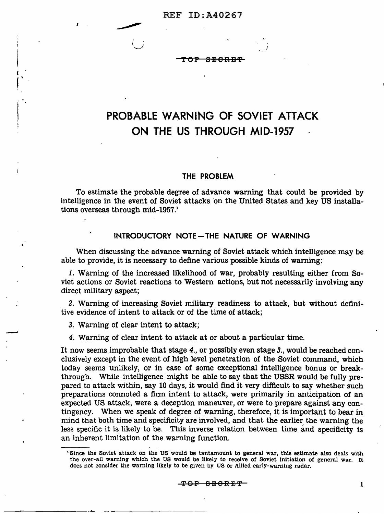REF ID:A40267

.· .. )

## PROBABLE WARNING OF SOVIET ATTACK ON THE US THROUGH MID-1957

<del>SECRET</del>

## THE PROBLEM

To estimate the probable degree of advance warning that could be provided by intelligence in the event of Soviet attacks on the United States and key US installations overseas through mid-1957.<sup>1</sup>

## INTRODUCTORY NOTE-THE NATURE OF WARNING

When discussing the advance warning of Soviet attack which intelligence may be able to provide, it is necessary to define various possible kinds of warning:

1. Warning of the increased likelihood of war, probably resulting either from Soviet actions or Soviet reactions to Western actions, but not necessarily involving any direct military aspect;

*2.* Warning of increasing Soviet military readiness to attack, but without definitive evidence of intent to attack or of the time of attack;

*3.* Warning of clear intent to attack;

I  $\prod_{i=1}^{n}$ 

..

 $\begin{bmatrix} 1 \\ 1 \end{bmatrix}$ 

-<br>-<br>.

4. Warning of clear intent to attack at or about a particular time.

It now seems improbable that stage 4., or possibly even stage 3., would be reached conclusively except in the event of high level penetration of the Soviet command, which today seems unlikely, or in case of some exceptional intelligence bonus or breakthrough. While intelligence might be able to say that the USSR would be fully prepared to attack within, say 10 days, it would find it very difficult to say whether such preparations connoted a firm intent to attack, were primarily in anticipation of an expected US attack, were a deception maneuver, or were to prepare against any contingency. When we speak of degree of warning, therefore, it is important to bear in mind that both time and specificity are involved, and that the earlier the warning the less specific it is likely to be. This inverse relation between time and specificity is an inherent limitation of the warning function.

 $\begin{array}{cccccccccc}\n\textbf{-}\textbf{TOP} & \textbf{SECREF}\n\end{array}$ 

<sup>&#</sup>x27;Since the Soviet attack on the US would be tantamount to general war, this estimate also deals with the over-all warning which the US would be likely to receive of Soviet initiation of general war. It does not consider the warning likely to be given by US or Allied early-warning radar.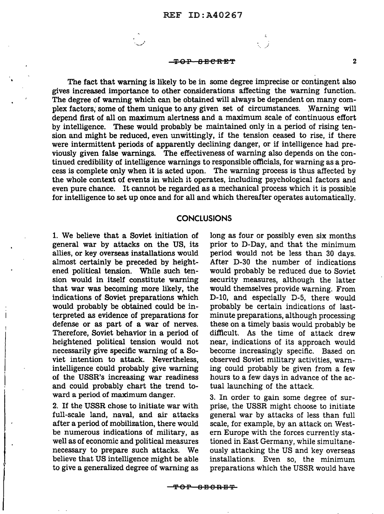## TOP SElCRE'f' 2

' . \_\_ ....

The fact that warning is likely to be in some degree imprecise or contingent also gives increased importance to other considerations affecting the warning function. The degree of warning which can be obtained will always be dependent on many complex factors; some of them unique to any given set of circumstances. Warning will depend first of all on maximum alertness and a maximum scale of continuous effort by intelligence. These would probably be maintained only in a period of rising tension and might be reduced, even unwittingly, if the tension ceased to rise, if there were intermittent periods of apparently declining danger, or if intelligence had previously given false warnings. The effectiveness of warning also depends on the continued credibility of intelligence warnings to responsible officials, for warning as a process is complete only when it is acted upon. The warning process is thus affected by the whole context of events in which it operates, including psychological factors and even pure chance. It cannot be regarded as a mechanical process which it is possible for intelligence to set up once and for all and which thereafter operates automatically.

## **CONCLUSIONS**

1. We believe that a Soviet initiation of general war by attacks on the US, its allies, or key overseas installations would almost certainly be preceded by heightened political tension. While such tension would in itself constitute warning that war was becoming more likely, the indications of Soviet preparations which would probably be obtained could be interpreted as evidence of preparations for defense or as part of a war of nerves. Therefore, Soviet behavior in a period of heightened political tension would not necessarily give specific warning of a Soviet intention to attack. Nevertheless, intelligence could probably give warning of the USSR's increasing war readiness and could probably chart the trend toward a period of maximum danger.

2. If the USSR chose to initiate war with full-scale land, naval, and air attacks after a period of mobilization, there would be numerous indications of military, as well as of economic and political measures necessary to prepare such attacks. We believe that US intelligence might be able to give a generalized degree of warning as long as four or possibly even six months prior to D-Day, and that the minimum period would not be less than 30 days. After D-30 the number of indications would probably be reduced due to Soviet security measures, although the latter would themselves provide warning. From D-10, and especially D-5, there would probably be certain indications of lastminute preparations, although processing these on a timely basis would probably be difficult. As the time of attack drew near, indications of its approach would become increasingly specific. Based on observed Soviet military activities, warning could probably be given from a few hours to a few days in advance of the actual launching of the attack.

3. In order to gain some degree of surprise, the USSR might choose to initiate general war by attacks of less than full scale, for example, by an attack on Western Europe with the forces currently stationed in East Germany, while simultaneously attacking the US and key overseas installations. Even so, the minimum preparations which the USSR would have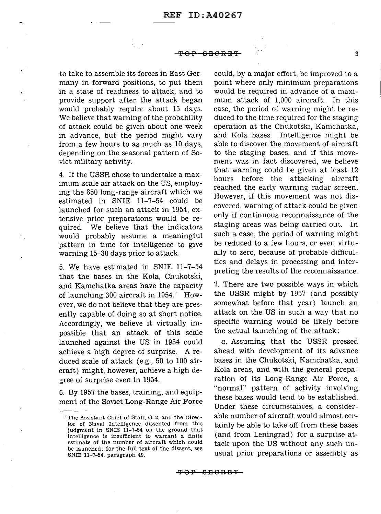#### **'f'OF SECRE'i?** 3

to take to assemble its forces in East Germany in forward positions, to put them in a state of readiness to attack, and to provide support after the attack began would probably require about 15 days. We believe that warning of the probability of attack could be given about one week in advance, but the period might vary from a few hours to as much as 10 days, depending on the seasonal pattern of Soviet military activity.

4. If the USSR chose to undertake a maximum-scale air attack on the US, employing the 850 long-range aircraft which we estimated in SNIE 11-7-54 could be launched for such an attack in 1954, extensive prior preparations would be required. We believe that the indicators would probably assume a meaningful pattern in time for intelligence to give warning 15-30 days prior to attack.

5. We have estimated in SNIE 11-7-54 that the bases in the Kola, Chukotski, and Kamchatka areas have the capacity of launching 300 aircraft in 1954.<sup>2</sup> However, we do not believe that they are presently capable of doing so at short notice. Accordingly, we believe it virtually impossible that an attack of this scale launched against the US in 1954 could achieve a high degree of surprise. A reduced scale of attack (e.g., 50 to 100 aircraft) might, however, achieve a high degree of surprise even in 1954.

6. By 1957 the bases, training, and equipment of the Soviet Long-Range Air Force could, by a major effort, be improved to a point where only minimum preparations would be required in advance of a maximum attack of 1,000 aircraft. In this case, the period of warning might be reduced to the time required for the staging operation at the Chukotski, Kamchatka, and Kola bases. Intelligence might be able to discover the movement of aircraft to the staging bases, and if this movement was in fact discovered, we believe that warning could be given at least 12 hours before the attacking aircraft reached the early warning radar screen. However, if this movement was not discovered, warning of attack could be given only if continuous reconnaissance of the staging areas was being carried out. In such a case, the period of warning might be reduced to a few hours, or even virtually to zero, because of probable difficulties and delays in processing and interpreting the results of the reconnaissance.

 $\zeta_1=\lambda$ 

7. There are two possible ways in which the USSR might by 1957 (and possibly somewhat before that year) launch an attack on the US in such a way that no specific warning would be likely before the actual launching of the attack:

*a.* Assuming that the USSR pressed ahead with development of its advance bases in the Chukotski, Kamchatka, and Kola areas, and with the general preparation of its Long-Range Air Force, a "normal" pattern of activity involving these bases would tend to be established. Under these circumstances, a considerable number of aircraft would almost certainly be able to take off from these bases (and from Leningrad) for a surprise attack upon the US without any such unusual prior preparations or assembly as

<sup>&#</sup>x27;The Assistant Chief of Staff, G-2, and the Director of Naval Intelligence dissented from this judgment in SNIE 11-7-54 on the ground that intelligence is insufficient to warrant a finite estimate of the number of aircraft which could be launched; for the full text of the dissent, see SNIE 11-7-54, paragraph 49.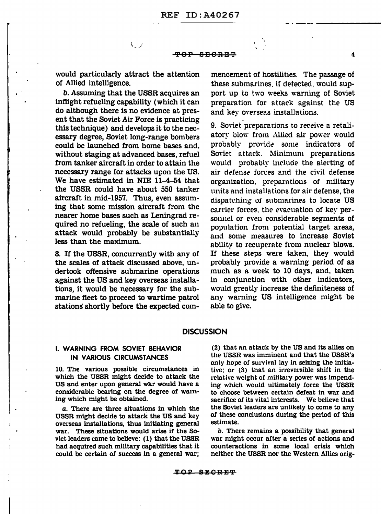#### $\overline{TOP}$  SEGRET 4

would particularly attract the attention of Allied intelligence.

 $\sqrt{2}$ 

b. Assuming that the USSR acquires an inflight refueling capability (which it can do although there is no evidence at present that the Soviet Air Force is practicing this technique) and develops it to the necessary degree, Soviet long-range bombers could be launched from home bases and. without staging at advanced bases, refuel from tanker aircraft in order to attain the necessary range for attacks upon the US. We have estimated in NIE  $11-4-54$  that the USSR could have about 550 tanker aircraft in mid-1957. Thus, even assuming that some mission aircraft from the nearer home bases such as Leningrad required no refueling, the scale of such an attack would probably be substantially less than the maximum.

8. If the USSR, concurrently with any of the scales of attack discussed above. undertook offensive submarine operations against the US and key overseas installations, it would be necessary for the submarine fleet to proceed to wartime patrol stations shortly before the expected commencement of hostilities. The passage of these submarines. if detected, would support up to two weeks warning of Soviet preparation for attack against the US and key overseas installations.

9. Soviet preparations to receive a retaliatory blow from Allied air power would probably provide some indicators of Soviet attack. Minimum preparations would probably include the alerting of air defense iorces and the civil defense organization. preparations of military units and installations for air defense, the dispatching of submarines to locate US carrier forces, the evacuation of key personnel or even considerable segments of population from potential target areas, and some measures to increase Soviet ability to recuperate from nuclear blows. If these steps were taken, they would probably provide a warning period of as much as a week to 10 days, and. taken in conjunction with other indicators, would greatly increase the definiteness of any warning US intelligence might be able to give.

## **DISCUSSION**

## I. WARNING FROM SOVIET BEHAVIOR IN VARIOUS CIRCUMSTANCES

10. The various possible circumstances in which the USSR might decide to attack the US and enter upon general war would have a considerable bearing on the degree of waming which might be obtained.

*a.* There are three situations in which the USSR might decide to attack the US and key overseas installations, thus initiating general war. These situations would arise if the Soviet leaders came to believe: (1) that the USSR had acquired such military capabilities that it could be certain of success in a general war;

(2) that an attack by the US and its allies on the USSR was imminent and that the USSR's only hope of survival lay in seizing the initiative: or (3) that an irreversible shift in the relative weight of military power was impending which would ultimately force the USSR to choose between certain defeat in war and sacrifice of its vital interests. We believe that the Soviet leaders are unlikely to come to any of these conclusions during the period of this estimate.

b. There remains a possibility that general war might occur after a series of actions and counteractions in some local crisis which neither the USSR nor the Western Allies orig-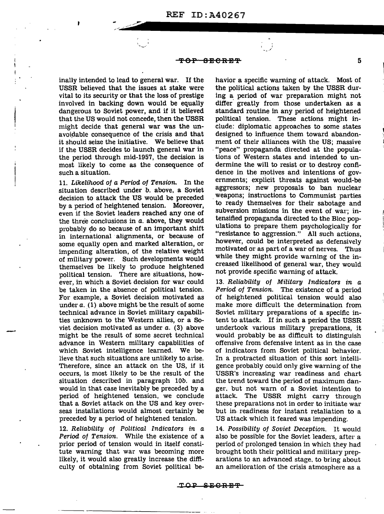## **'fOF BECRE'f** 5

inally intended to lead to general war. If the USSR believed that the issues at stake were vital to its security or that the loss of prestige involved in backing down would be equally dangerous to Soviet power, and if it believed that the US would not concede, then the USSR might decide that general war was the unavoidable consequence of the crisis and that it should seize the initiative. We believe that if the USSR decides to launch general war in the period through mid-1957, the decision is most likely to come as the consequence of such a situation.

·- \_\_\_ ...

11. Likelihood of a Period of Tension. In the situation described under b. above, a Soviet decision to attack the US would be preceded by a period of heightened tension. Moreover, even if the Soviet leaders reached any one of the three conclusions in *a.* above, they would probably do so because of an important shift in international alignments, or because of some equally open and marked alteration, or impending alteration, of the relative weight of military power. Such developments would themselves be likely to produce heightened political tension. There are situations, however, in which a Soviet decision for war could be taken in the absence of political tension. For example, a Soviet decision motivated as under *a.* (1) above might be the result of some technicai advance in Soviet military capabilities unknown to the Western allies, or a Soviet decision motivated as under *a.* (3) above might be the result of some secret technical advance in Western military capabilities of which Soviet intelligence learned. We believe that such situations are unlikely to arise. Therefore, since an attack on the US, if it occurs, is most likely to be the result of the situation described in paragraph 10b. and would in that case inevitably be preceded by a period of heightened tension, we conclude that a Soviet attack on the US and key overseas installations would almost certainly be preceded by a period of heightened tension.

12. Reliability of Political Indicators in a Period of Tension. While the existence of a prior period of tension would in itself constitute warning that war was becoming more likely, it would also greatly increase the difficulty of obtaining from Soviet political behavior a specific warning of attack. Most of the political actions taken by the USSR during a period of war preparation might not differ greatly from those undertaken as a standard routine in any period of heightened political tension. These actions might include: diplomatic approaches to some states designed to influence them toward abandonment of their alliances with the US; massive "peace" propaganda directed at the populations of Western states and intended to undermine the will to resist or to destroy confidence in the motives and intentions of governments; explicit threats against would-be aggressors; new proposals to ban nuclear . weapons; instructions to Communist parties to ready themselves for their sabotage and subversion missions in the event of war; intensified propaganda directed to the Bloc populations to prepare them psychologically for "resistance to aggression." All such actions, however, could be interpreted as defensively motivated or as part of a war of nerves. Thus while they might provide warning of the increased likelihood of general war, they would not provide specific warning of attack.

 $\sim$   $\sim$ 

13. Reliability of Military Indicators in a Period of Tension. The existence of a period of heightened political tension would also make more difficult the determination from Soviet military preparations of a specific intent to attack. If in such a period the USSR undertook various military preparations, it would probably be as difficult to distinguish offensive from defensive intent as in the. case of indicators from Soviet political behavior. In a protracted situation of this sort intelligence probably could only give warning of the USSR's increasing war readiness and chart the trend toward the period of maximum danger. but not warn of a Soviet intention to attack. The USSR might carry through these preparations not in order to initiate war but in. readiness for instant retaliation to a US attack which it feared was impending.

14. Possibility of Soviet Deception. It would also be possible for the Soviet leaders, after a period of prolonged tension in which they had brought both their political and military preparations to an advanced stage. to bring about an amelioration of the crisis atmosphere as a

**TOP iEGRE'i:'**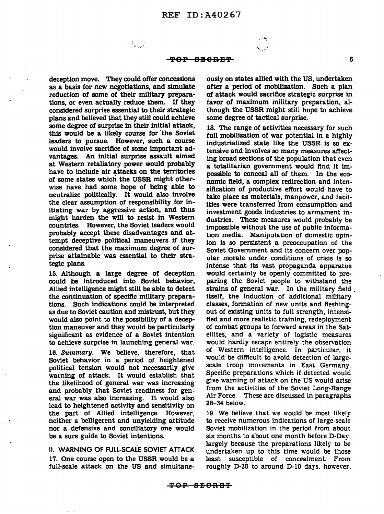### 'l'OP SEGBE'I' 6

deception move. They could offer concessions as a basis for new negotiations, and simulate reduction of some of their military preparations, or even actually reduce them. If they considered surprise essential to their strategic plans and believed that they still could achieve some degree of surprise in their initial attack, this would be a likely course for the Soviet leaders to pursue. However, such a course would involve sacrifice of some important advantages. An initial surprise assault aimed at Western retaliatory power would probably have to include air attacks on the territories of some states which the USSR might otherwise have had some hope. of being able to neutralize politically. It would also involve the clear assumption of responsibility for initiating war by aggressive action, and thus might harden the will to resist in Western countries. However, the Soviet leaders would probably accept these disadvantages and attempt deceptive political maneuvers if they considered that the maximum degree of surprise attainable was essential to their strategic plans.

15. Although a large degree of deception could be introduced into Soviet behavior, Allied intelligence might still be able to detect the continuation of specific military preparations. Such indications could be interpreted as due to Soviet caution and mistrust, but they would also point to the possibility of a deception maneuver and they would be particularly significant as evidence of a Soviet intention to achieve surprise in launching general war.

16. Summary. We believe, therefore, that Soviet behavior in a. period of heightened political tension would not necessarily give warning of attack. It would establish that the likelihood of general war was increasing and probably that Soviet readiness for general war was also increasing. It would also lead to heightened activity and sensitivity on the part of Allied intelligence. However, neither a belligerent and unyielding attitude nor a defensive and conciliatory one would be a sure guide to Soviet intentions.

II. WARNING OF FULL-SCALE SOVIET ATTACK 17. One course open to the USSR would be a full-scale attack on the US and simultane-

ously on states allied with the US, undertaken after a period of mobilization. Such a plan of attack would sacrifice strategic surprise in favor of maximum military preparation, although the USSR might still hope to achieve some degree of tactical surprise.

'·-·'

18. The range of activities necessary for such full mobilization of war potential in a highly industrialized state like the USSR is so extensive and involves so many measures affecting broad sections of the population that even a totalitarian government would find it impossible to conceal all of them. In the economic field, a complex redirection and intensification of productive effort would have to take place as materials, manpower, and facilities were transferred from consumption and investment goods industries to armament industries. These measures would probably be impossible without the use of pubJic information media. Manipulation or domestic opinion is so persistent a preoccupation of the Soviet Government and its concern over popular morale under conditions of crisis is so intense that its vast propaganda apparatus would certainly be openly committed to preparing the Soviet people to withstand the strains of general war. In the military field . itself, the induction of additional military classes, formation of new units and fleshingout of existing units to full strength, intensified and more realistic training, redeployment of combat groups to forward areas in the Satellites, and a variety of logistic measures would hardly escape entirely the observation of Western intelligence. In particular, it would be difficult to avoid detection of largescale troop movements in East Germany. Specific preparations which if detected would give warning of attack on the US would arise from the activities of the Soviet Long-Range Air Force. These are discussed in paragraphs 28-34 below.

19. We believe that we would be most likely to receive numerous indications of large-scale Soviet mobilization in the period from about six months to about one month before D-Day. largely because the preparations likely to be undertaken up to this time would be those least susceptible of concealment. From roughly D-30 to around D-10 days. however.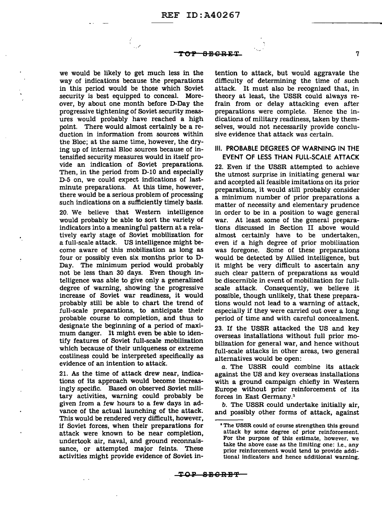## TOP SEGRET 7

we would be likely to get much less in the way of indications because the preparations in this period would be those which Soviet security is best equipped to conceal. Moreover, by about one month before D-Day the progressive tightening of Soviet security measures would probably have reached a high point. There would almost certainly be a reduction in information from sources within the Bloc; at the same time, however, the drying up of internal Bloc sources because of intensified security measures would in itself provide an indication of Soviet preparations. Then, in the period from D-10 and especially D-5 on, we could expect indications of lastminute preparations. At this time, however, there would be a serious problem of processing such indications on a sufficiently timely basis.

 $\cdot$  .  $\cdot$ 

Ť,

20. We believe that Western intelligence would probably be able to sort the variety of indicators into a meaningful pattern at a relatively early stage of Soviet mobilization for a full-scale attack. US intelligence might become aware of this mobilization as long as four or possibly even six months prior to D-Day. The minimum period would probably not be less than 30 days. Even though intelligence was able to give only a generalized degree of warning, showing the progressive increase of Soviet war readiness, it would probably still be able to chart the trend of full-scale preparations, to anticipate their probable course to completion, and thus to designate the beginning of a period of maximum danger. It might even be able to identify features of Soviet full-scale mobilization which because of their uniqueness or extreme costliness could be interpreted specifically as evidence of an intention to attack.

21. As the time of attack drew near, indications of its approach would become increasingly specific. Based on observed Soviet military activities, warning could probably be given from a few hours to a few days in advance of the actual launching of the attack. This would be rendered very difficult, however, if Soviet forces, when their preparations for attack were known to be near completion, undertook air, naval, and ground reconnaissance, or attempted major feints. These activities might provide evidence of Soviet in-

tention to attack, but would aggravate the difficulty of determining the time of such attack. It must also be recognized that, in theory at least, the USSR could always refrain from or delay attacking even after preparations were complete. Hence the indications of military readiness, taken by themselves, would not necessarily provide conclusive evidence that attack was certain.

### Ill. PROBABLE DEGREES OF WARNING IN THE EVENT OF LESS THAN FULL-SCALE ATTACK

22. Even if the USSR attempted to achieve the utmost surprise in initiating general war and accepted all feasible imitations on its prior preparations, it would still probably consider a minimum number of prior preparations a matter of necessity and elementary prudence in order to be in a position to wage general war. At least some of the general preparations discussed in Section II above would almost certainly have to be undertaken, even if a high degree of prior mobilization was foregone. Some of these preparations would be detected by Allied intelligence, but it might be very difficult to ascertain any such clear pattern of preparations as would be discernible in event of mobilization for fullscale attack. Consequently, we believe it possible, though unlikely, that these preparations would not lead to a warning of attack, especially if they were carried out over a long period of time and with careful concealment.

23. If the USSR attacked the US and key overseas installations without full prior mobilization for general war, and hence without full-scale attacks in other areas, two general alternatives would be open:

*a.* The USSR could combine its attack against the US and key overseas installations with a ground campaign chiefly in Western Europe without prior reinforcement of its forces in East Germany.<sup>3</sup>

*b.* The USSR could undertake initially air, and possibly other forms of attack, against

TOP SECRET

<sup>•</sup> The USSR could of course strengthen this ground attack by some degree of prior reinforcement. For the purpose of this estimate, however, we take the above case as the limiting one: i.e., any prior reinforcement would tend to provide additional indicators and hence additional warning.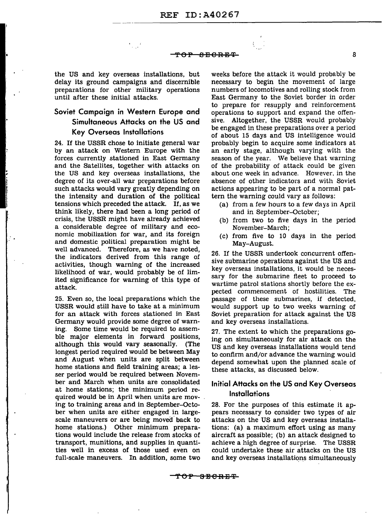#### 'fOF SEORET 8

the US and key overseas installations, but delay its ground campaigns and discernible preparations for other military operations until after these initial attacks.

## Soviet Campaign in Western Europe and Simultaneous Attacks on the US and Key Overseas Installations

24. If the USSR chose to initiate general war by an attack on Western Europe with the forces currently stationed in East Germany and the Satellites, together with attacks on the US and key overseas installations, the degree of its over-all war preparations before such attacks would vary greatly depending on the intensity and duration of the political tensions which preceded the attack. If, as we think likely, there had been a long period of crisis, the USSR might have already achieved a considerable degree of military and economic mobilization for war, and its foreign and domestic political preparation might be well advanced. Therefore, as we have noted, the indicators derived from this range of activities, though warning of the increased likelihood of war, would probably be of limited significance for warning of this type of attack.

.. r

·1

25. Even so, the local preparations which the USSR would still have to take at a minimum for an attack with forces stationed in East Germany would provide some degree of warning. Some time would be required to assemble major elements in forward positions, although this would vary seasonally. (The longest period required would be between May and August when units are split between home stations and field training areas; a lesser period would be required between November and March when units are consolidated at home stations; the minimum period required would be in April when units are moving to training areas and in September-October when units are either engaged in largescale maneuvers or are being moved back to home stations.) Other minimum preparations would include the release from stocks of transport, munitions, and supplies in quantities well in excess of those used even on full-scale· maneuvers. In addition, some two weeks before the attack it would probably be necessary to begin the movement of large numbers of locomotives and rolling stock from East Germany to the Soviet border in order to prepare for resupply and reinforcement operations to support and expand the offensive. Altogether, the USSR would probably be engaged in these preparations over a period of about 15 days and US intelligence would probably begin to acquire some indicators at an early stage, although varying with the season of the year. We believe that warning of the probability of attack could be given about one week in advance. However. in the absence of other indicators and with Soviet actions appearing to be part of a normal pattern the warning could vary as follows:

- (a) from a few hours to a few days in April and in September-October;
- (b) from two to five days in the period November-March;
- (c) from five to 10 days in the period May-August.

26. If the USSR undertook concurrent offensive submarine operations against the US and key overseas installations, it would be necessary for the submarine fleet to proceed to wartime patrol stations shortly before the expected commencement of hostilities. The passage of these submarines, if detected, would support up to two weeks warning of Soviet preparation for attack against the US and key overseas installations.

27. The extent to which the preparations going on simultaneously for air attack on the US and key overseas installations would tend to confirm and/or advance the warning would depend somewhat upon the planned scale of these attacks, as discussed below.

## Initial Attacks on the US and Key Overseas Installations

28. For the purposes of this estimate it appears necessary to consider two types of air attacks on the US and key overseas installations: (a) a maximum effort using as many aircraft as possible; (b) an attack designed to achieve a high degree of surprise. The USSR could undertake these air attacks on the US and key overseas installations simultaneously

T<del>OP SECRET</del>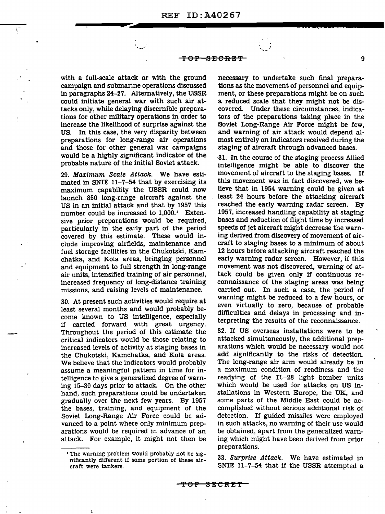with a full-scale attack or with the ground campaign and submarine operations discussed in paragraphs 24-27. Alternatively, the USSR could initiate general war with such air attacks only, while delaying discernible preparations for other military operations in order to increase the likelihood of surprise against the US. In this case, the very disparity between preparations for long-range air operations and those for other general war campaigns would be a highly significant indicator of the probable nature of the initial Soviet attack.

' /

29. Maximum Scale Attack. We have estimated in SNIE 11-7-54 that by exercising its maximum capability the USSR could now launch 850 long-range aircraft against the US in an initial attack and that by 1957 this number could be increased to 1,000.<sup>4</sup> Extensive prior preparations would be required, particularly in the early part of the period covered by this estimate. These would include improving airfields, maintenance and fuel storage facilities in the Chukotski, Kamchatka, and Kola areas, bringing personnel and equipment to full strength in long-range air units, intensified training of air personnel, increased frequency of long-distance training missions, and raising levels of maintenance.

30. At present such activities would require at least several months and would probably become known to US intelligence, especially if carried forward with great urgency. Throughout the period of this estimate the critical indicators would be those relating to increased levels of activity at staging bases in the Chukotski, Kamchatka, and Kola areas. We believe that the indicators would probably assume a meaningful pattern in time for intelligence to give a generalized degree of warning 15-30 days prior to attack. On the other hand, such preparations could be undertaken gradually over the next few years. By 1957 the bases, training, and equipment of the Soviet Long-Range Air Force could be advanced to a point where only minimum preparations would be required in advance of an attack. For example, it might not then be

necessary to undertake such finai preparations as the movement of personnel and equipment, or these preparations might be on such a reduced scale that they might not be discovered. Under these circumstances, indicators of the preparations taking place in the Soviet Long-Range Air Force might be few, and warning of air attack would depend almost entirely on indicators received during the staging of aircraft through advanced bases.

·31. In the course of the staging process Allied intelligence might be able to discover the movement of aircraft to the staging bases. If this movement was in fact discovered, we believe that in 1954 warning could be given at least 24 hours before the attacking aircraft reached the early warning radar screen. By 1957, increased handling capability at staging bases and reduction of flight time by increased speeds of jet aircraft might decrease the warning derived from discovery of movement of aircraft to staging bases to a minimum of about 12 hours before attacking aircraft reached the early warning radar screen. However, if this movement was not discovered, warning of attack could be given only if continuous reconnaissance of the staging areas was being carried out. In such a case, the period of warning might be reduced to a few hours, or even virtually to zero, because of probable difficulties and delays in processing and interpreting the results of the reconnaissance.

32. If US overseas installations were to be attacked simultaneously, the additional preparations which would be necessary would not add significantly to the risks of detection. The long-range air arm would already be in a maximum condition of readiness and the readying of the IL-28 light bomber units which would be used for attacks on US installations in Western Europe, the UK, and some parts of the Middle East could be accomplished without serious additional risk of detection. If guided missiles were employed in such attacks, no warning of their use would be obtained, apart from the generalized warning which might have been derived from prior preparations.

33. Surprise Attack. We have estimated in SNIE 11-7-54 that if the USSR attempted a

**'f'OP SECRE'f'** 9

<sup>•</sup>The warning problem would probably not be significantly different if some portion of these aircraft were tankers.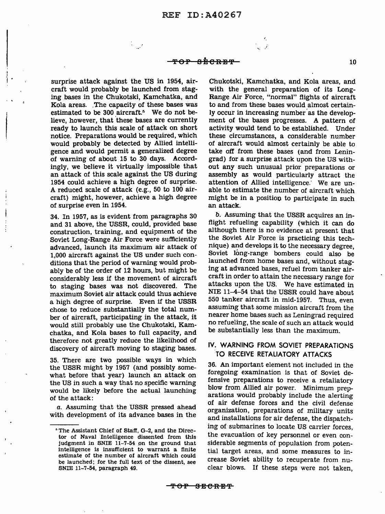### TOP SECRET 10

surprise attack against the US in 1954, aircraft would probably be launched from staging bases in the Chukotski, Kamchatka, and Kola areas. The capacity of these bases was estimated to be 300 aircraft. $\frac{1}{2}$  We do not believe, however, that these bases are currently ready to launch this scale of attack on short notice. Preparations would be required, which would probably be detected by Allied intelligence and would permit a generalized degree of warning of about 15 to 30 days. Accordingly, we believe it virtually impossible that an attack of this scale against the US during 1954 could achieve a high degree of surprise. A reduced scale of attack (e.g., 50 to 100 aircraft) might, however, achieve a high degree of surprise even in 1954.

I I ·1 •

> 34. In 1957, as is evident from paragraphs 30 and 31 above, the USSR, could, provided base construction, training, and equipment of the Soviet Long-Range Air Force were sufficiently advanced, launch its maximum air attack of 1,000 aircraft against the US under such conditions that the period of warning would probably be of the order of 12 hours, but might be considerably less if the movement of aircraft to staging bases was not discovered. The maximum Soviet air attack could thus achieve a high degree of surprise. Even if the USSR chose to reduce substantially the total number of aircraft, participating in the attack, it would still probably use the Chukotski, Kamchatka, and Kola bases to full capacity, and therefore not greatly reduce the likelihood of discovery of aircraft moving to staging bases.

> 35. There are two possible ways in which the USSR might by 1957 (and possibly somewhat before that year) launch an attack on the US in such a way that no specific warning would be likely before the actual launching of the attack:

> *a.* Assuming that the USSR pressed ahead with development of its advance bases in the

Chukotski, Kamchatka, and Kola areas, and with the general preparation of its Long-Range Air Force, "normal" flights of aircraft to and from these bases would almost certainly occur in increasing number as the development of the bases progresses. A pattern of activity would tend to be established. Under these circumstances, a considerable number of aircraft would almost certainly be able to take off from these bases (and from Leningrad) for a surprise attack upon the US without any such unusual prior preparations or assembly as would particularly attract the attention of Allied intelligence: We are unable to estimate the number of aircraft which might be in a position to participate in such an attack.

',

*b.* Assuming that the USSR acquires an inflight refueling capability (which it can do although there is no evidence at present that the Soviet Air Force is practicing this technique) and develops it to the necessary degree. Soviet long-range bombers could also be launched from home bases and, without staging at advanced bases, refuel from tanker aircraft in order to attain the necessary range for attacks upon the US. We have estimated in NIE 11-4-54 that the USSR could have about 550 tanker aircraft in mid-1957. Thus, even assuming that some mission aircraft from the nearer home bases such as Leningrad required no refueling, the scale of such an attack would be substantially less than the maximum.

## IV. WARNING FROM SOVIET PREPARATIONS TO RECEIVE RETALIATORY ATTACKS

36. An important element not included in the foregoing examination is that of Soviet defensive preparations to receive a retaliatory blow from Allied air power. Minimum preparations would probably include the alerting of air defense forces and the civil defense organization, preparations of military units and installations for air defense, the dispatching of submarines to locate US carrier forces,<br>the evacuation of key personnel or even considerable segments of population from potential target areas, and some measures to increase Soviet ability to recuperate from nuclear blows. If these steps were not taken,

<sup>&#</sup>x27;'The Assistant Chief of Staff, G-2, and the Director of Naval Intelligence dissented from this judgment in SNIE 11-7-54 on the ground that intelligence is insufficient to warrant a finite estimate of the number of aircraft which could be launched; for the full text of the dissent, see SNIE 11-7-54, paragraph 49.